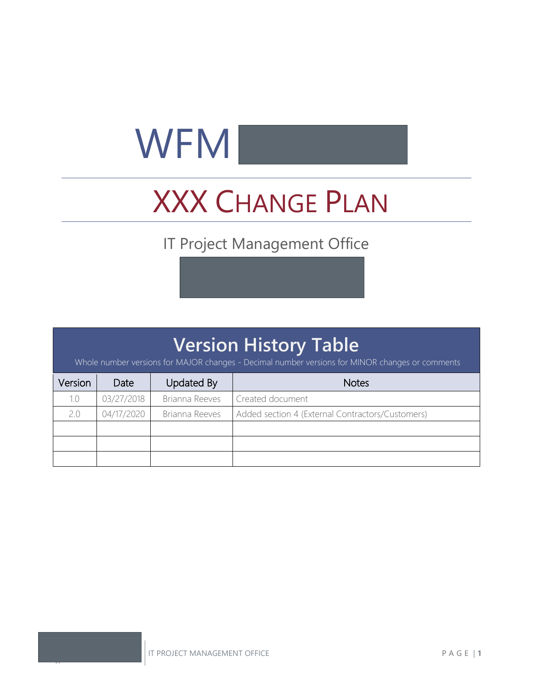# $WFM$

## XXX CHANGE PLAN

## IT Project Management Office

## **Version History Table**

Whole number versions for MAJOR changes - Decimal number versions for MINOR changes or comments

| Version | Date       | <b>Updated By</b> | <b>Notes</b>                                     |
|---------|------------|-------------------|--------------------------------------------------|
| 1.0     | 03/27/2018 | Brianna Reeves    | Created document                                 |
| 2.0     | 04/17/2020 | Brianna Reeves    | Added section 4 (External Contractors/Customers) |
|         |            |                   |                                                  |
|         |            |                   |                                                  |
|         |            |                   |                                                  |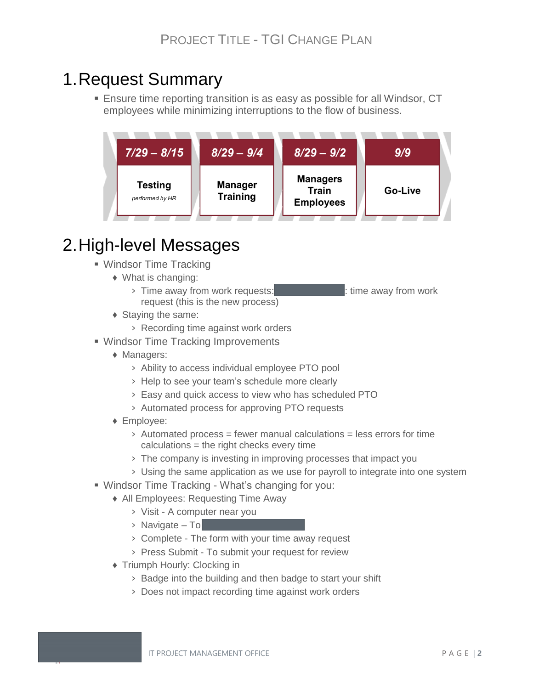## 1.Request Summary

**E** Ensure time reporting transition is as easy as possible for all Windsor, CT employees while minimizing interruptions to the flow of business.



## 2.High-level Messages

- Windsor Time Tracking
	- ♦ What is changing:
		- > Time away from work requests:  $\frac{1}{2}$  time away from work request (this is the new process)
	- ♦ Staying the same:
		- › Recording time against work orders
- Windsor Time Tracking Improvements
	- ♦ Managers:
		- › Ability to access individual employee PTO pool
		- › Help to see your team's schedule more clearly
		- › Easy and quick access to view who has scheduled PTO
		- › Automated process for approving PTO requests
	- ♦ Employee:
		- $\rightarrow$  Automated process = fewer manual calculations = less errors for time calculations = the right checks every time
		- › The company is investing in improving processes that impact you
	- › Using the same application as we use for payroll to integrate into one system
- Windsor Time Tracking What's changing for you:
	- ♦ All Employees: Requesting Time Away
		- › Visit A computer near you
		- $\rightarrow$  Navigate To
		- › Complete The form with your time away request
		- › Press Submit To submit your request for review
	- ♦ Triumph Hourly: Clocking in
		- › Badge into the building and then badge to start your shift
		- › Does not impact recording time against work orders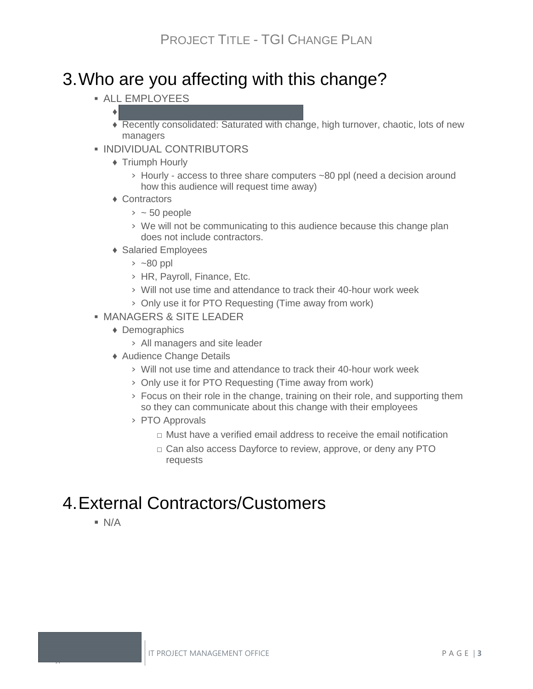## 3.Who are you affecting with this change?

**EXALL EMPLOYEES** 

#### $\bullet$  . The set of  $\bullet$

- ♦ Recently consolidated: Saturated with change, high turnover, chaotic, lots of new managers
- **. INDIVIDUAL CONTRIBUTORS** 
	- ♦ Triumph Hourly
		- › Hourly access to three share computers ~80 ppl (need a decision around how this audience will request time away)
	- ♦ Contractors
		- $>$  ~ 50 people
		- › We will not be communicating to this audience because this change plan does not include contractors.
	- ♦ Salaried Employees
		- $>$  ~80 ppl
		- › HR, Payroll, Finance, Etc.
		- › Will not use time and attendance to track their 40-hour work week
		- › Only use it for PTO Requesting (Time away from work)
- **. MANAGERS & SITE LEADER** 
	- ♦ Demographics
		- › All managers and site leader
	- ♦ Audience Change Details
		- › Will not use time and attendance to track their 40-hour work week
		- › Only use it for PTO Requesting (Time away from work)
		- › Focus on their role in the change, training on their role, and supporting them so they can communicate about this change with their employees
		- › PTO Approvals
			- $\Box$  Must have a verified email address to receive the email notification
			- □ Can also access Dayforce to review, approve, or deny any PTO requests

## 4.External Contractors/Customers

 $N/A$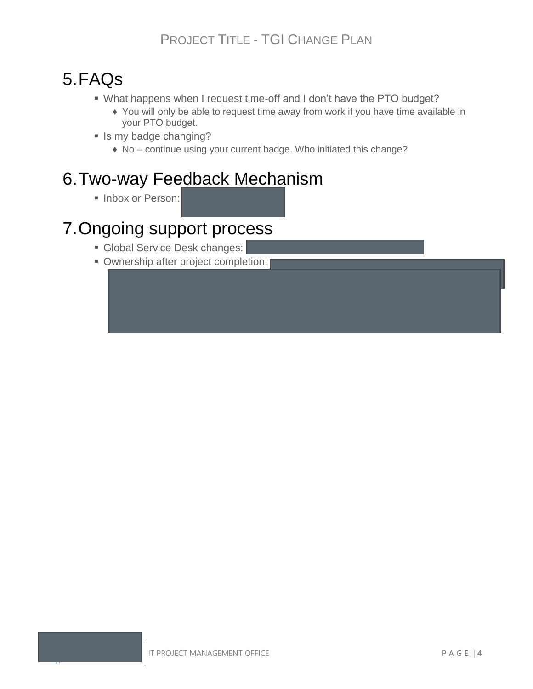## 5.FAQs

- What happens when I request time-off and I don't have the PTO budget?
	- ♦ You will only be able to request time away from work if you have time available in your PTO budget.
- **E** Is my badge changing?
	- ♦ No continue using your current badge. Who initiated this change?

## 6.Two-way Feedback Mechanism

**E** Inbox or Person:

## 7.Ongoing support process

- **Global Service Desk changes:**
- **Ownership after project completion:**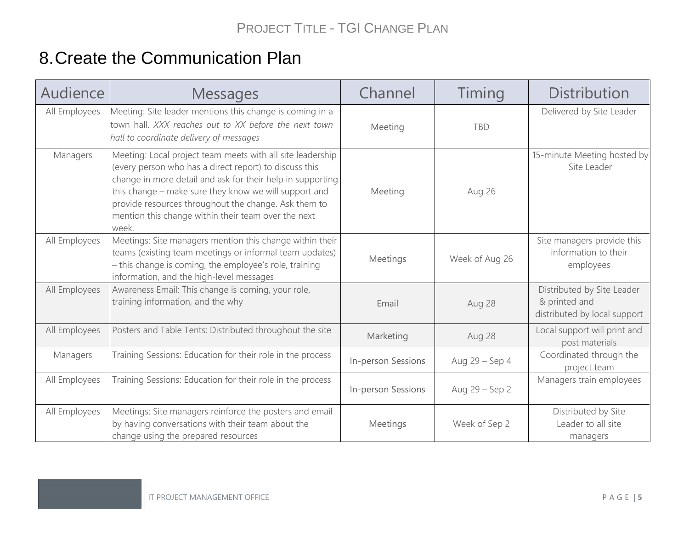## 8.Create the Communication Plan

| Audience      | <b>Messages</b>                                                                                                                                                                                                                                                                                                                                                     | Channel            | Timing         | <b>Distribution</b>                                                         |
|---------------|---------------------------------------------------------------------------------------------------------------------------------------------------------------------------------------------------------------------------------------------------------------------------------------------------------------------------------------------------------------------|--------------------|----------------|-----------------------------------------------------------------------------|
| All Employees | Meeting: Site leader mentions this change is coming in a<br>town hall. XXX reaches out to XX before the next town<br>hall to coordinate delivery of messages                                                                                                                                                                                                        | Meeting            | <b>TBD</b>     | Delivered by Site Leader                                                    |
| Managers      | Meeting: Local project team meets with all site leadership<br>(every person who has a direct report) to discuss this<br>change in more detail and ask for their help in supporting<br>this change - make sure they know we will support and<br>provide resources throughout the change. Ask them to<br>mention this change within their team over the next<br>week. | Meeting            | Aug 26         | 15-minute Meeting hosted by<br>Site Leader                                  |
| All Employees | Meetings: Site managers mention this change within their<br>teams (existing team meetings or informal team updates)<br>- this change is coming, the employee's role, training<br>information, and the high-level messages                                                                                                                                           | Meetings           | Week of Aug 26 | Site managers provide this<br>information to their<br>employees             |
| All Employees | Awareness Email: This change is coming, your role,<br>training information, and the why                                                                                                                                                                                                                                                                             | Email              | Aug 28         | Distributed by Site Leader<br>& printed and<br>distributed by local support |
| All Employees | Posters and Table Tents: Distributed throughout the site                                                                                                                                                                                                                                                                                                            | Marketing          | Aug 28         | Local support will print and<br>post materials                              |
| Managers      | Training Sessions: Education for their role in the process                                                                                                                                                                                                                                                                                                          | In-person Sessions | Aug 29 - Sep 4 | Coordinated through the<br>project team                                     |
| All Employees | Training Sessions: Education for their role in the process                                                                                                                                                                                                                                                                                                          | In-person Sessions | Aug 29 - Sep 2 | Managers train employees                                                    |
| All Employees | Meetings: Site managers reinforce the posters and email<br>by having conversations with their team about the<br>change using the prepared resources                                                                                                                                                                                                                 | Meetings           | Week of Sep 2  | Distributed by Site<br>Leader to all site<br>managers                       |